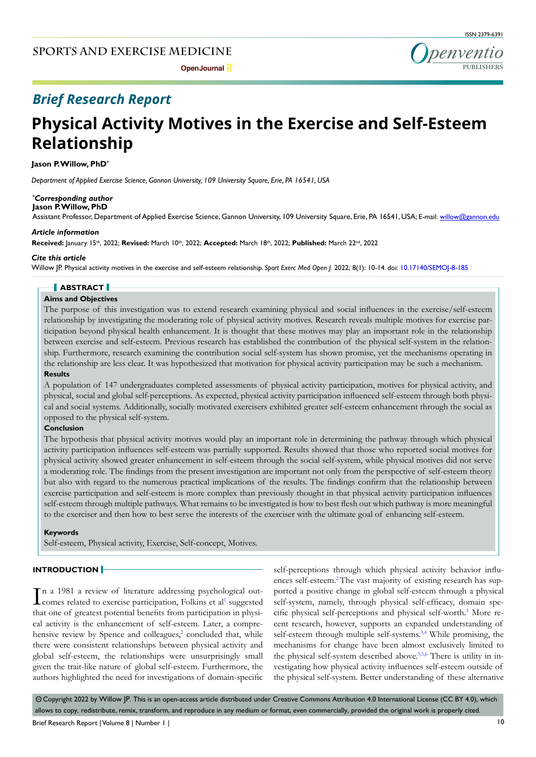**Open Journal** 



## *Brief Research Report*

# **Physical Activity Motives in the Exercise and Self-Esteem Relationship**

**Jason P. Willow, PhD\***

*Department of Applied Exercise Science, Gannon University, 109 University Square, Erie, PA 16541, USA*

#### *\* Corresponding author* **Jason P. Willow, PhD**

Assistant Professor, Department of Applied Exercise Science, Gannon University, 109 University Square, Erie, PA 16541, USA; E-mail: willow@gannon.edu

#### *Article information*

**Received:** January 15th, 2022; **Revised:** March 10th, 2022; **Accepted:** March 18th, 2022; **Published:** March 22nd, 2022

#### *Cite this article*

Willow JP. Physical activity motives in the exercise and self-esteem relationship. *Sport Exerc Med Open J*. 2022; 8(1): 10-14. doi: [10.17140/SEMOJ-8-185](http://dx.doi.org/10.17140/SEMOJ-8-185)

### **ABSTRACT**

#### **Aims and Objectives**

The purpose of this investigation was to extend research examining physical and social influences in the exercise/self-esteem relationship by investigating the moderating role of physical activity motives. Research reveals multiple motives for exercise participation beyond physical health enhancement. It is thought that these motives may play an important role in the relationship between exercise and self-esteem. Previous research has established the contribution of the physical self-system in the relationship. Furthermore, research examining the contribution social self-system has shown promise, yet the mechanisms operating in the relationship are less clear. It was hypothesized that motivation for physical activity participation may be such a mechanism.

#### **Results**

A population of 147 undergraduates completed assessments of physical activity participation, motives for physical activity, and physical, social and global self-perceptions. As expected, physical activity participation influenced self-esteem through both physical and social systems. Additionally, socially motivated exercisers exhibited greater self-esteem enhancement through the social as opposed to the physical self-system.

#### **Conclusion**

The hypothesis that physical activity motives would play an important role in determining the pathway through which physical activity participation influences self-esteem was partially supported. Results showed that those who reported social motives for physical activity showed greater enhancement in self-esteem through the social self-system, while physical motives did not serve a moderating role. The findings from the present investigation are important not only from the perspective of self-esteem theory but also with regard to the numerous practical implications of the results. The findings confirm that the relationship between exercise participation and self-esteem is more complex than previously thought in that physical activity participation influences self-esteem through multiple pathways. What remains to be investigated is how to best flesh out which pathway is more meaningful to the exerciser and then how to best serve the interests of the exerciser with the ultimate goal of enhancing self-esteem.

#### **Keywords**

Self-esteem, Physical activity, Exercise, Self-concept, Motives.

#### **INTRODUCTION**

In a 1981 a review of literature addressing psychological out-<br>comes related to exercise participation, Folkins et al<sup>1</sup> suggested comes related to exercise participation, Folkins et al<sup>[1](#page-3-0)</sup> suggested that one of greatest potential benefits from participation in physical activity is the enhancement of self-esteem. Later, a compre-hensive review by Spence and colleagues,<sup>[2](#page-3-1)</sup> concluded that, while there were consistent relationships between physical activity and global self-esteem, the relationships were unsurprisingly small given the trait-like nature of global self-esteem. Furthermore, the authors highlighted the need for investigations of domain-specific self-perceptions through which physical activity behavior influences self-esteem.<sup>2</sup> The vast majority of existing research has supported a positive change in global self-esteem through a physical self-system, namely, through physical self-efficacy, domain specific physical self-perceptions and physical self-worth.[3](#page-3-2) More recent research, however, supports an expanded understanding of self-esteem through multiple self-systems.<sup>[3,4](#page-3-2)</sup> While promising, the mechanisms for change have been almost exclusively limited to the physical self-system described above.<sup>[3,](#page-3-2)5,6</sup> There is utility in investigating how physical activity influences self-esteem outside of the physical self-system. Better understanding of these alternative

© Copyright 2022 by Willow JP. This is an open-access article distributed under Creative Commons Attribution 4.0 International License (CC BY 4.0), which allows to copy, redistribute, remix, transform, and reproduce in any medium or format, even commercially, provided the original work is properly cited.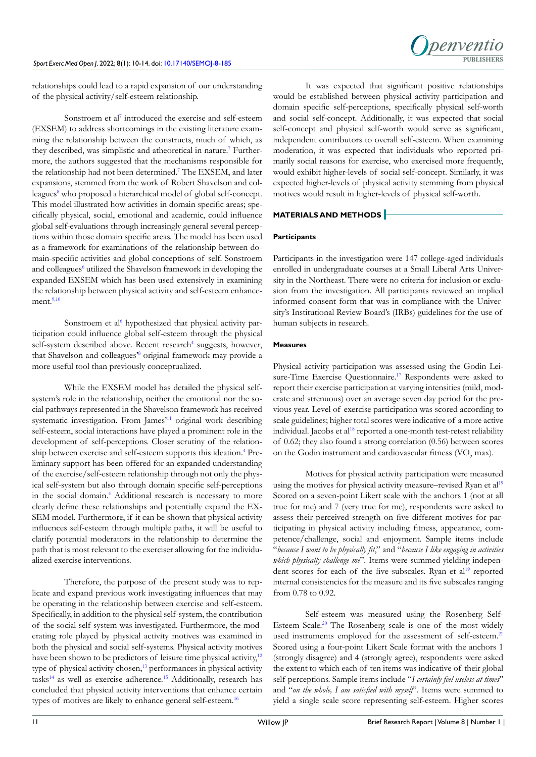

relationships could lead to a rapid expansion of our understanding of the physical activity/self-esteem relationship.

Sonstroem et al<sup>[7](#page-3-4)</sup> introduced the exercise and self-esteem (EXSEM) to address shortcomings in the existing literature examining the relationship between the constructs, much of which, as they described, was simplistic and atheoretical in nature.<sup>7</sup> Furthermore, the authors suggested that the mechanisms responsible for the relationship had not been determined[.7](#page-3-4) The EXSEM, and later expansions, stemmed from the work of Robert Shavelson and colleagues<sup>8</sup> who proposed a hierarchical model of global self-concept. This model illustrated how activities in domain specific areas; specifically physical, social, emotional and academic, could influence global self-evaluations through increasingly general several perceptions within those domain specific areas. The model has been used as a framework for examinations of the relationship between domain-specific activities and global conceptions of self. Sonstroem and colleagues<sup>6</sup> utilized the Shavelson framework in developing the expanded EXSEM which has been used extensively in examining the relationship between physical activity and self-esteem enhancement. $2,10$ 

Sonstroem et al<sup>6</sup> hypothesized that physical activity participation could influence global self-esteem through the physical self-system described above. Recent research<sup>[4](#page-3-8)</sup> suggests, however, that Shavelson and colleagues'[8](#page-3-5) original framework may provide a more useful tool than previously conceptualized.

While the EXSEM model has detailed the physical selfsystem's role in the relationship, neither the emotional nor the social pathways represented in the Shavelson framework has received systematic investigation. From James<sup>11</sup> original work describing self-esteem, social interactions have played a prominent role in the development of self-perceptions. Closer scrutiny of the relation-ship between exercise and self-esteem supports this ideation.<sup>[4](#page-3-8)</sup> Preliminary support has been offered for an expanded understanding of the exercise/self-esteem relationship through not only the physical self-system but also through domain specific self-perceptions in the social domain[.4](#page-3-8) Additional research is necessary to more clearly define these relationships and potentially expand the EX-SEM model. Furthermore, if it can be shown that physical activity influences self-esteem through multiple paths, it will be useful to clarify potential moderators in the relationship to determine the path that is most relevant to the exerciser allowing for the individualized exercise interventions.

Therefore, the purpose of the present study was to replicate and expand previous work investigating influences that may be operating in the relationship between exercise and self-esteem. Specifically, in addition to the physical self-system, the contribution of the social self-system was investigated. Furthermore, the moderating role played by physical activity motives was examined in both the physical and social self-systems. Physical activity motives have been shown to be predictors of leisure time physical activity,<sup>[12](#page-3-10)</sup> type of physical activity chosen,<sup>[13](#page-3-11)</sup> performances in physical activity tasks $14$  as well as exercise adherence.<sup>15</sup> Additionally, research has concluded that physical activity interventions that enhance certain types of motives are likely to enhance general self-esteem.<sup>[16](#page-3-14)</sup>

It was expected that significant positive relationships would be established between physical activity participation and domain specific self-perceptions, specifically physical self-worth and social self-concept. Additionally, it was expected that social self-concept and physical self-worth would serve as significant, independent contributors to overall self-esteem. When examining moderation, it was expected that individuals who reported primarily social reasons for exercise, who exercised more frequently, would exhibit higher-levels of social self-concept. Similarly, it was expected higher-levels of physical activity stemming from physical motives would result in higher-levels of physical self-worth.

#### **MATERIALS AND METHODS**

#### **Participants**

Participants in the investigation were 147 college-aged individuals enrolled in undergraduate courses at a Small Liberal Arts University in the Northeast. There were no criteria for inclusion or exclusion from the investigation. All participants reviewed an implied informed consent form that was in compliance with the University's Institutional Review Board's (IRBs) guidelines for the use of human subjects in research.

#### **Measures**

Physical activity participation was assessed using the Godin Leisure-Time Exercise Questionnaire.<sup>17</sup> Respondents were asked to report their exercise participation at varying intensities (mild, moderate and strenuous) over an average seven day period for the previous year. Level of exercise participation was scored according to scale guidelines; higher total scores were indicative of a more active individual. Jacobs et al<sup>[18](#page-4-1)</sup> reported a one-month test-retest reliability of 0.62; they also found a strong correlation (0.56) between scores on the Godin instrument and cardiovascular fitness (VO<sub>2</sub> max).

Motives for physical activity participation were measured using the motives for physical activity measure–revised Ryan et al<sup>[19](#page-4-2)</sup> Scored on a seven-point Likert scale with the anchors 1 (not at all true for me) and 7 (very true for me), respondents were asked to assess their perceived strength on five different motives for participating in physical activity including fitness, appearance, competence/challenge, social and enjoyment. Sample items include "*because I want to be physically fit*," and "*because I like engaging in activities which physically challenge me*". Items were summed yielding indepen-dent scores for each of the five subscales. Ryan et al<sup>[19](#page-4-2)</sup> reported internal consistencies for the measure and its five subscales ranging from 0.78 to 0.92.

Self-esteem was measured using the Rosenberg Self-Esteem Scale.<sup>[20](#page-4-3)</sup> The Rosenberg scale is one of the most widely used instruments employed for the assessment of self-esteem.<sup>[21](#page-4-4)</sup> Scored using a four-point Likert Scale format with the anchors 1 (strongly disagree) and 4 (strongly agree), respondents were asked the extent to which each of ten items was indicative of their global self-perceptions. Sample items include "*I certainly feel useless at times*" and "*on the whole, I am satisfied with myself*". Items were summed to yield a single scale score representing self-esteem. Higher scores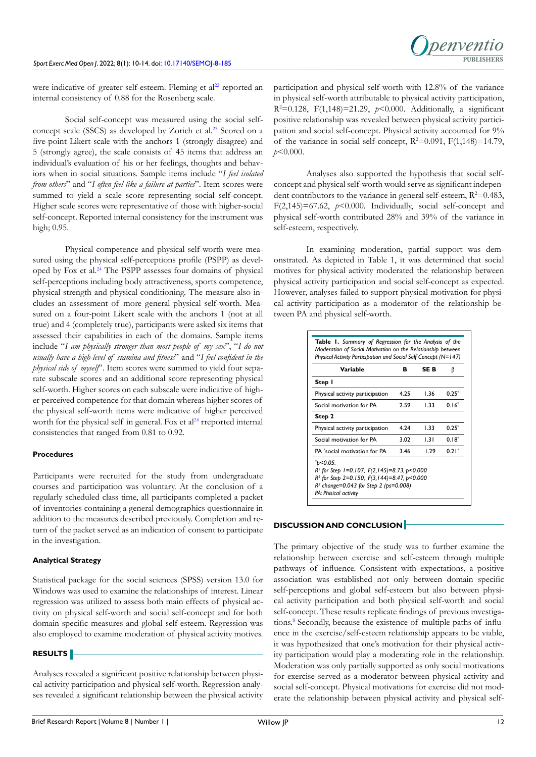

were indicative of greater self-esteem. Fleming et al<sup>22</sup> reported an internal consistency of 0.88 for the Rosenberg scale.

Social self-concept was measured using the social selfconcept scale (SSCS) as developed by Zorich et al.<sup>23</sup> Scored on a five-point Likert scale with the anchors 1 (strongly disagree) and 5 (strongly agree), the scale consists of 45 items that address an individual's evaluation of his or her feelings, thoughts and behaviors when in social situations. Sample items include "*I feel isolated from others*" and "*I often feel like a failure at parties*". Item scores were summed to yield a scale score representing social self-concept. Higher scale scores were representative of those with higher-social self-concept. Reported internal consistency for the instrument was high; 0.95.

Physical competence and physical self-worth were measured using the physical self-perceptions profile (PSPP) as developed by Fox et al.[24](#page-4-7) The PSPP assesses four domains of physical self-perceptions including body attractiveness, sports competence, physical strength and physical conditioning. The measure also includes an assessment of more general physical self-worth. Measured on a four-point Likert scale with the anchors 1 (not at all true) and 4 (completely true), participants were asked six items that assessed their capabilities in each of the domains. Sample items include "*I am physically stronger than most people of my sex*", "*I do not usually have a high-level of stamina and fitness*" and "*I feel confident in the physical side of myself*". Item scores were summed to yield four separate subscale scores and an additional score representing physical self-worth. Higher scores on each subscale were indicative of higher perceived competence for that domain whereas higher scores of the physical self-worth items were indicative of higher perceived worth for the physical self in general. Fox et  $al<sup>24</sup>$  rreported internal consistencies that ranged from 0.81 to 0.92.

#### **Procedures**

Participants were recruited for the study from undergraduate courses and participation was voluntary. At the conclusion of a regularly scheduled class time, all participants completed a packet of inventories containing a general demographics questionnaire in addition to the measures described previously. Completion and return of the packet served as an indication of consent to participate in the investigation.

#### **Analytical Strategy**

Statistical package for the social sciences (SPSS) version 13.0 for Windows was used to examine the relationships of interest. Linear regression was utilized to assess both main effects of physical activity on physical self-worth and social self-concept and for both domain specific measures and global self-esteem. Regression was also employed to examine moderation of physical activity motives.

#### **RESULTS**

Analyses revealed a significant positive relationship between physical activity participation and physical self-worth. Regression analyses revealed a significant relationship between the physical activity participation and physical self-worth with 12.8% of the variance in physical self-worth attributable to physical activity participation, R2 =0.128, F(1,148)=21.29, *p*<0.000. Additionally, a significant positive relationship was revealed between physical activity participation and social self-concept. Physical activity accounted for 9% of the variance in social self-concept,  $R^2=0.091$ ,  $F(1,148)=14.79$ , *p*<0.000.

Analyses also supported the hypothesis that social selfconcept and physical self-worth would serve as significant independent contributors to the variance in general self-esteem,  $R^2 = 0.483$ , F(2,145)=67.62,  $p$ <0.000. Individually, social self-concept and physical self-worth contributed 28% and 39% of the variance in self-esteem, respectively.

In examining moderation, partial support was demonstrated. As depicted in Table 1, it was determined that social motives for physical activity moderated the relationship between physical activity participation and social self-concept as expected. However, analyses failed to support physical motivation for physical activity participation as a moderator of the relationship between PA and physical self-worth.

| <b>Variable</b>                                                                                                                                                                                    | в    | SE B | β          |
|----------------------------------------------------------------------------------------------------------------------------------------------------------------------------------------------------|------|------|------------|
| Step I                                                                                                                                                                                             |      |      |            |
| Physical activity participation                                                                                                                                                                    | 4.25 | 1.36 | $0.25^{*}$ |
| Social motivation for PA                                                                                                                                                                           | 2.59 | 1.33 | $0.16*$    |
| Step 2                                                                                                                                                                                             |      |      |            |
| Physical activity participation                                                                                                                                                                    | 4.24 | l 33 | $0.25*$    |
| Social motivation for PA                                                                                                                                                                           | 3.02 | 131  | $0.18^*$   |
| <b>PA</b> *social motivation for <b>PA</b>                                                                                                                                                         | 346  | 1.29 | $0.21*$    |
| $^{\ast}$ p<0.05.<br>$R^2$ for Step 1=0.107, $F(2, 145)=8.73$ , $p<0.000$<br>$R^2$ for Step 2=0.150, $F(3,144)=8.47$ , p<0.000<br>$R2$ change=0.043 for Step 2 (ps=0.008)<br>PA: Phisical activity |      |      |            |

#### **DISCUSSION AND CONCLUSION**

The primary objective of the study was to further examine the relationship between exercise and self-esteem through multiple pathways of influence. Consistent with expectations, a positive association was established not only between domain specific self-perceptions and global self-esteem but also between physical activity participation and both physical self-worth and social self-concept. These results replicate findings of previous investigations.<sup>8</sup> Secondly, because the existence of multiple paths of influence in the exercise/self-esteem relationship appears to be viable, it was hypothesized that one's motivation for their physical activity participation would play a moderating role in the relationship. Moderation was only partially supported as only social motivations for exercise served as a moderator between physical activity and social self-concept. Physical motivations for exercise did not moderate the relationship between physical activity and physical self-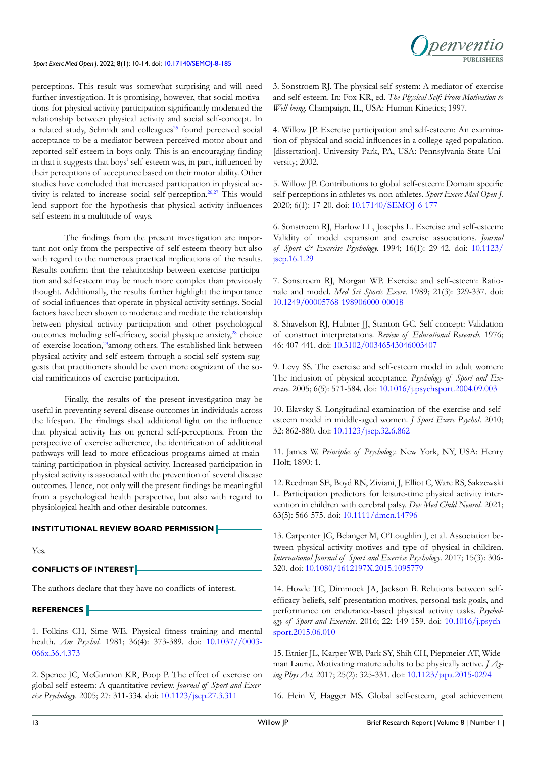

perceptions. This result was somewhat surprising and will need further investigation. It is promising, however, that social motivations for physical activity participation significantly moderated the relationship between physical activity and social self-concept. In a related study, Schmidt and colleagues<sup>25</sup> found perceived social acceptance to be a mediator between perceived motor about and reported self-esteem in boys only. This is an encouraging finding in that it suggests that boys' self-esteem was, in part, influenced by their perceptions of acceptance based on their motor ability. Other studies have concluded that increased participation in physical activity is related to increase social self-perception.<sup>26,27</sup> This would lend support for the hypothesis that physical activity influences self-esteem in a multitude of ways.

The findings from the present investigation are important not only from the perspective of self-esteem theory but also with regard to the numerous practical implications of the results. Results confirm that the relationship between exercise participation and self-esteem may be much more complex than previously thought. Additionally, the results further highlight the importance of social influences that operate in physical activity settings. Social factors have been shown to moderate and mediate the relationship between physical activity participation and other psychological outcomes including self-efficacy, social physique anxiety,<sup>[28](#page-4-10)</sup> choice of exercise location,<sup>[29](#page-4-11)</sup>among others. The established link between physical activity and self-esteem through a social self-system suggests that practitioners should be even more cognizant of the social ramifications of exercise participation.

Finally, the results of the present investigation may be useful in preventing several disease outcomes in individuals across the lifespan. The findings shed additional light on the influence that physical activity has on general self-perceptions. From the perspective of exercise adherence, the identification of additional pathways will lead to more efficacious programs aimed at maintaining participation in physical activity. Increased participation in physical activity is associated with the prevention of several disease outcomes. Hence, not only will the present findings be meaningful from a psychological health perspective, but also with regard to physiological health and other desirable outcomes.

#### **INSTITUTIONAL REVIEW BOARD PERMISSION**

Yes.

### **CONFLICTS OF INTEREST**

The authors declare that they have no conflicts of interest.

#### **REFERENCES**

<span id="page-3-0"></span>1. Folkins CH, Sime WE. Physical fitness training and mental health. *Am Psychol*. 1981; 36(4): 373-389. doi: [10.1037//0003-](http://doi.org/
10.1037//0003-066x.36.4.373) [066x.36.4.373](http://doi.org/
10.1037//0003-066x.36.4.373)

<span id="page-3-1"></span>2. Spence JC, McGannon KR, Poop P. The effect of exercise on global self-esteem: A quantitative review. *Journal of Sport and Exercise Psychology*. 2005; 27: 311-334. doi: [10.1123/jsep.27.3.311](http://doi.org/
10.1123/jsep.27.3.311)

<span id="page-3-2"></span>3. Sonstroem RJ. The physical self-system: A mediator of exercise and self-esteem. In: Fox KR, ed. *The Physical Self: From Motivation to Well-being*. Champaign, IL, USA: Human Kinetics; 1997.

<span id="page-3-8"></span>4. Willow JP. Exercise participation and self-esteem: An examination of physical and social influences in a college-aged population. [dissertation]. University Park, PA, USA: Pennsylvania State University; 2002.

<span id="page-3-3"></span>5. Willow JP. Contributions to global self-esteem: Domain specific self-perceptions in athletes vs. non-athletes. *Sport Exerc Med Open J.*  2020; 6(1): 17-20. doi: [10.17140/SEMOJ-6-177](http://doi.org/
10.17140/SEMOJ-6-177 )

<span id="page-3-6"></span>6. Sonstroem RJ, Harlow LL, Josephs L. Exercise and self-esteem: Validity of model expansion and exercise associations. *Journal of Sport & Exercise Psychology.* 1994; 16(1): 29-42. doi: [10.1123/](http://doi.org/
10.1123/jsep.16.1.29) [jsep.16.1.29](http://doi.org/
10.1123/jsep.16.1.29)

<span id="page-3-4"></span>7. Sonstroem RJ, Morgan WP. Exercise and self-esteem: Rationale and model. *Med Sci Sports Exerc*. 1989; 21(3): 329-337. doi: [10.1249/00005768-198906000-00018](http://doi.org/
10.1249/00005768-198906000-00018)

<span id="page-3-5"></span>8. Shavelson RJ, Hubner JJ, Stanton GC. Self-concept: Validation of construct interpretations. *Review of Educational Research*. 1976; 46: 407-441. doi: [10.3102/00346543046003407](http://doi.org/
10.3102/00346543046003407)

<span id="page-3-7"></span>9. Levy SS. The exercise and self-esteem model in adult women: The inclusion of physical acceptance. *Psychology of Sport and Exercise*. 2005; 6(5): 571-584. doi: [10.1016/j.psychsport.2004.09.003](http://doi.org/
10.1016/j.psychsport.2004.09.003)

10. Elavsky S. Longitudinal examination of the exercise and selfesteem model in middle-aged women. *J Sport Exerc Psychol*. 2010; 32: 862-880. doi: [10.1123/jsep.32.6.862](http://doi.org/
10.1123/jsep.32.6.862)

<span id="page-3-9"></span>11. James W. *Principles of Psychology.* New York, NY, USA: Henry Holt; 1890: 1.

<span id="page-3-10"></span>12. Reedman SE, Boyd RN, Ziviani, J, Elliot C, Ware RS, Sakzewski L. Participation predictors for leisure-time physical activity intervention in children with cerebral palsy. *Dev Med Child Neurol*. 2021; 63(5): 566-575. doi: [10.1111/dmcn.14796](http://doi.org/
10.1111/dmcn.14796)

<span id="page-3-11"></span>13. Carpenter JG, Belanger M, O'Loughlin J, et al. Association between physical activity motives and type of physical in children. *International Journal of Sport and Exercise Psychology*. 2017; 15(3): 306- 320. doi: [10.1080/1612197X.2015.1095779](http://doi.org/
10.1080/1612197X.2015.1095779)

<span id="page-3-12"></span>14. Howle TC, Dimmock JA, Jackson B. Relations between selfefficacy beliefs, self-presentation motives, personal task goals, and performance on endurance-based physical activity tasks. *Psychology of Sport and Exercise*. 2016; 22: 149-159. doi: [10.1016/j.psych](http://doi.org/
10.1016/j.psychsport.2015.06.010)[sport.2015.06.010](http://doi.org/
10.1016/j.psychsport.2015.06.010)

<span id="page-3-13"></span>15. Etnier JL, Karper WB, Park SY, Shih CH, Piepmeier AT, Wideman Laurie. Motivating mature adults to be physically active. *J Aging Phys Act.* 2017; 25(2): 325-331. doi: [10.1123/japa.2015-0294](http://doi.org/
10.1123/japa.2015-0294)

<span id="page-3-14"></span>16. Hein V, Hagger MS. Global self-esteem, goal achievement